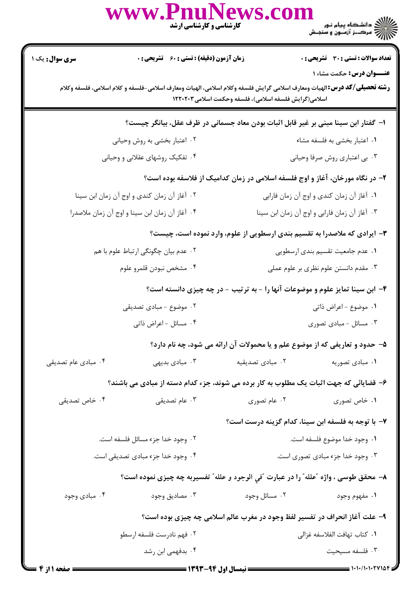|                                                                                                                                                                                                                                   | www.PnuNews.col<br>کارشناسی و کارشناسی ارشد                                            |                                               | )<br>))<br>))) = سرک_ز آزمــون و سنجـش                                       |  |  |
|-----------------------------------------------------------------------------------------------------------------------------------------------------------------------------------------------------------------------------------|----------------------------------------------------------------------------------------|-----------------------------------------------|------------------------------------------------------------------------------|--|--|
| <b>سری سوال :</b> یک                                                                                                                                                                                                              | <b>زمان آزمون (دقیقه) : تستی : 60 ٪ تشریحی : 0</b>                                     |                                               | <b>تعداد سوالات : تستی : 30 ٪ تشریحی : 0</b>                                 |  |  |
| <b>عنــوان درس:</b> حکمت مشاء ۱<br><b>رشته تحصیلی/کد درس:</b> الهیات ومعارف اسلامی گرایش فلسفه وکلام اسلامی، الهیات ومعارف اسلامی-فلسفه و کلام اسلامی، فلسفه وکلام<br>اسلامی(گرایش فلسفه اسلامی)، فلسفه وحکمت اسلامی۲۰۲۰۳ ۱۲۲۰۲۰۳ |                                                                                        |                                               |                                                                              |  |  |
|                                                                                                                                                                                                                                   | ا– گفتار ابن سینا مبنی بر غیر قابل اثبات بودن معاد جسمانی در ظرف عقل، بیانگر چیست؟     |                                               |                                                                              |  |  |
|                                                                                                                                                                                                                                   | ۰۲ اعتبار بخشی به روش وحیانی                                                           |                                               | ۰۱ اعتبار بخشی به فلسفه مشاء                                                 |  |  |
|                                                                                                                                                                                                                                   | ۰۴ تفکیک روشهای عقلانی و وحیانی                                                        |                                               | ۰۳ بي اعتباري روش صرفا وحياني                                                |  |  |
| ۲- در نگاه مورخان، آغاز و اوج فلسفه اسلامی در زمان کدامیک از فلاسفه بوده است؟                                                                                                                                                     |                                                                                        |                                               |                                                                              |  |  |
| ۰۲ آغاز آن زمان کندی و اوج آن زمان ابن سینا                                                                                                                                                                                       |                                                                                        |                                               | ٠١ آغاز آن زمان كندي و اوج آن زمان فارابي                                    |  |  |
| ۰۴ آغاز آن زمان ابن سينا و اوج آن زمان ملاصدرا                                                                                                                                                                                    |                                                                                        | ٠٣ آغاز آن زمان فارابي و اوج آن زمان ابن سينا |                                                                              |  |  |
| ۳- ایرادی که ملاصدرا به تقسیم بندی ارسطویی از علوم، وارد نموده است، چیست؟                                                                                                                                                         |                                                                                        |                                               |                                                                              |  |  |
|                                                                                                                                                                                                                                   | ۰۲ عدم بیان چگونگی ارتباط علوم با هم                                                   | ٠١ عدم جامعيت تقسيم بندى ارسطويي              |                                                                              |  |  |
|                                                                                                                                                                                                                                   | ۰۴ مشخص نبودن قلمرو علوم                                                               | ۰۳ مقدم دانستن علوم نظری بر علوم عملی         |                                                                              |  |  |
|                                                                                                                                                                                                                                   |                                                                                        |                                               | ۴- ابن سینا تمایز علوم و موضوعات آنها را - به ترتیب - در چه چیزی دانسته است؟ |  |  |
| ۰۲ موضوع - مبادی تصدیقی                                                                                                                                                                                                           |                                                                                        | ٠١. موضوع - اعراض ذاتي                        |                                                                              |  |  |
| ۰۴ مسائل - اعراض ذاتبي                                                                                                                                                                                                            |                                                                                        |                                               | ۰۳ مسائل - مبادی تصوری                                                       |  |  |
|                                                                                                                                                                                                                                   |                                                                                        |                                               | ۵- حدود و تعاریفی که از موضوع علم و یا محمولات آن ارائه می شود، چه نام دارد؟ |  |  |
| ۰۴ مبادی عام تصدیقی                                                                                                                                                                                                               | ۰۳ مبادی بدیهی                                                                         | ٠٢ مبادى تصديقيه                              | ۰۱ مبادی تصوریه                                                              |  |  |
|                                                                                                                                                                                                                                   | ۶– قضایائی که جهت اثبات یک مطلوب به کار برده می شوند، جزء کدام دسته از مبادی می باشند؟ |                                               |                                                                              |  |  |
| ۰۴ خاص تصدیقی                                                                                                                                                                                                                     | ۰۳ عام تصدیقی                                                                          | ۰۲ عام تصوری                                  | ۰۱ خاص تصوری                                                                 |  |  |
|                                                                                                                                                                                                                                   |                                                                                        |                                               | ٧– با توجه به فلسفه ابن سينا، كدام گزينه درست است؟                           |  |  |
|                                                                                                                                                                                                                                   | ۰۲ وجود خدا جزء مسائل فلسفه است.                                                       | ٠١. وجود خدا موضوع فلسفه است.                 |                                                                              |  |  |
| ۰۴ وجود خدا جزء مبادی تصدیقی است.                                                                                                                                                                                                 |                                                                                        | ۰۳ وجود خدا جزء مبادی تصوری است.              |                                                                              |  |  |
|                                                                                                                                                                                                                                   | ٨– محقق طوسی ، واژه ″علله″ را در عبارت ″في الوجود و علله″ تفسیربه چه چیزی نموده است؟   |                                               |                                                                              |  |  |
| ۰۴ مبادی وجود                                                                                                                                                                                                                     | ۰۳ مصاديق وجود                                                                         | ۰۲ مسائل وجود                                 | ۰۱ مفهوم وجود                                                                |  |  |
|                                                                                                                                                                                                                                   | ۹- علت آغاز انحراف در تفسیر لفظ وجود در مغرب عالم اسلامی چه چیزی بوده است؟             |                                               |                                                                              |  |  |
| ۰۲ فهم نادرست فلسفه ارسطو                                                                                                                                                                                                         |                                                                                        | ٠١ كتاب تهافت الفلاسفه غزالي                  |                                                                              |  |  |
|                                                                                                                                                                                                                                   | ۰۴ بدفهمی ابن رشد                                                                      |                                               | ۰۳ فلسفه مسيحيت                                                              |  |  |
| = صفحه 11: 4 =                                                                                                                                                                                                                    |                                                                                        |                                               |                                                                              |  |  |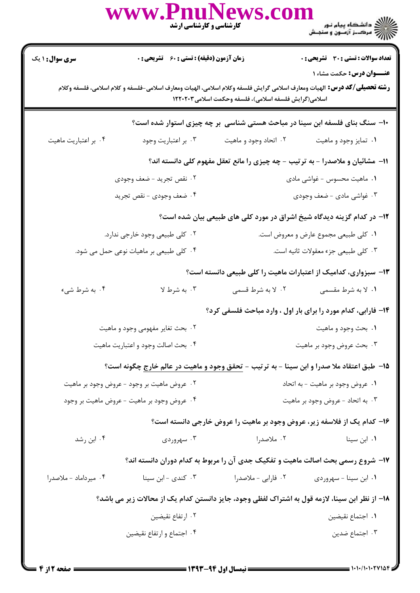|                                                                                                                                                                                                                      | www.PnuNews.co                                                                                            | کارشناسی و کارشناسی ارشد         | ے ۔<br>کا ایک دانشگاہ پیام نور<br>کا ایک مرکبز آزمون و سنجش                     |  |
|----------------------------------------------------------------------------------------------------------------------------------------------------------------------------------------------------------------------|-----------------------------------------------------------------------------------------------------------|----------------------------------|---------------------------------------------------------------------------------|--|
| <b>سری سوال : ۱ یک</b>                                                                                                                                                                                               | <b>زمان آزمون (دقیقه) : تستی : 60 گشریحی : 0</b>                                                          |                                  | <b>تعداد سوالات : تستی : 30 ٪ تشریحی : 0</b>                                    |  |
| عنــوان درس: حکمت مشاء ۱<br><b>رشته تحصيلي/كد درس:</b> الهيات ومعارف اسلامي گرايش فلسفه وكلام اسلامي، الهيات ومعارف اسلامي-فلسفه و كلام اسلامي، فلسفه وكلام<br>اسلامی(گرایش فلسفه اسلامی)، فلسفه وحکمت اسلامی۱۲۲۰۲۰۳ |                                                                                                           |                                  |                                                                                 |  |
|                                                                                                                                                                                                                      |                                                                                                           |                                  | ∙۱- سنگ بنای فلسفه ابن سینا در مباحث هستی شناسی ً بر چه چیزی استوار شده است؟    |  |
| ۰۴ بر اعتباریت ماهیت                                                                                                                                                                                                 | ۰۳ بر اعتباريت وجود                                                                                       | ۰۲ اتحاد وجود و ماهیت            | ۰۱ تمایز وجود و ماهیت                                                           |  |
|                                                                                                                                                                                                                      |                                                                                                           |                                  | 11- مشائیان و ملاصدرا - به ترتیب - چه چیزی را مانع تعقل مفهوم کلی دانسته اند؟   |  |
|                                                                                                                                                                                                                      | ٢. نقص تجريد - ضعف وجودي                                                                                  |                                  | ۰۱ ماهیت محسوس - غواشی مادی                                                     |  |
|                                                                                                                                                                                                                      | ۴. ضعف وجودي - نقص تجريد                                                                                  |                                  | ۰۳ غواشي مادي - ضعف وجودي                                                       |  |
|                                                                                                                                                                                                                      |                                                                                                           |                                  | ۱۲- در کدام گزینه دیدگاه شیخ اشراق در مورد کلی های طبیعی بیان شده است؟          |  |
|                                                                                                                                                                                                                      | ۰۲ کلی طبیعی وجود خارجی ندارد.                                                                            |                                  | ۰۱ کلی طبیعی مجموع عارض و معروض است.                                            |  |
|                                                                                                                                                                                                                      | ۰۴ کلی طبیعی بر ماهیات نوعی حمل می شود.                                                                   |                                  | ۰۳ کلی طبیعی جزء معقولات ثانیه است.                                             |  |
|                                                                                                                                                                                                                      |                                                                                                           |                                  | ۱۳- سبزواری، کدامیک از اعتبارات ماهیت را کلی طبیعی دانسته است؟                  |  |
| ۰۴ به شرط شيء                                                                                                                                                                                                        | ۰۳ به شرط لا                                                                                              | ۰۲ لا به شرط قسمی                | ۰۱ لا به شرط مقسمی                                                              |  |
|                                                                                                                                                                                                                      |                                                                                                           |                                  | ۱۴- فارابی، کدام مورد را برای بار اول ، وارد مباحث فلسفی کرد؟                   |  |
| ۰۲ بحث تغایر مفهومی وجود و ماهیت                                                                                                                                                                                     |                                                                                                           | ٠١ بحث وجود و ماهيت              |                                                                                 |  |
| ۰۴ بحث اصالت وجود و اعتباريت ماهيت                                                                                                                                                                                   |                                                                                                           | ۰۳ بحث عروض وجود بر ماهيت        |                                                                                 |  |
|                                                                                                                                                                                                                      | <b>۱۵</b> - طبق اعتقاد ملا صدرا و ابن سینا - به ترتیب - <u>تحقق و</u> جود و ماهیت در عالم خارج چگونه است؟ |                                  |                                                                                 |  |
| ۰۲ عروض ماهیت بر وجود - عروض وجود بر ماهیت                                                                                                                                                                           |                                                                                                           | ۰۱ عروض وجود بر ماهيت - به اتحاد |                                                                                 |  |
| ۰۴ عروض وجود بر ماهيت - عروض ماهيت بر وجود                                                                                                                                                                           |                                                                                                           | ۰۳ به اتحاد - عروض وجود بر ماهيت |                                                                                 |  |
|                                                                                                                                                                                                                      |                                                                                                           |                                  | ۱۶– کدام یک از فلاسفه زیر، عروض وجود بر ماهیت را عروض خارجی دانسته است؟         |  |
| ۰۴ ابن رشد                                                                                                                                                                                                           | ۰۳ سهروردی                                                                                                | ۰۲ ملاصدرا                       | ۰۱ ابن سینا                                                                     |  |
|                                                                                                                                                                                                                      |                                                                                                           |                                  | ۱۷- شروع رسمی بحث اصالت ماهیت و تفکیک جدی آن را مربوط به کدام دوران دانسته اند؟ |  |
| ۰۴ میرداماد - ملاصدرا                                                                                                                                                                                                | ۰۳ کندی - ابن سینا                                                                                        | ۰۲ فارابی - ملاصدرا              | ٠١. ابن سينا - سهروردى                                                          |  |
|                                                                                                                                                                                                                      | ۱۸– از نظر ابن سینا، لازمه قول به اشتراک لفظی وجود، جایز دانستن کدام یک از محالات زیر می باشد؟            |                                  |                                                                                 |  |
|                                                                                                                                                                                                                      | ۰۲ ارتفاع نقیضین                                                                                          |                                  | ٠١. اجتماع نقيضين                                                               |  |
|                                                                                                                                                                                                                      | ۰۴ اجتماع و ارتفاع نقيضين                                                                                 |                                  | ۰۳ اجتماع ضدین                                                                  |  |
|                                                                                                                                                                                                                      |                                                                                                           |                                  |                                                                                 |  |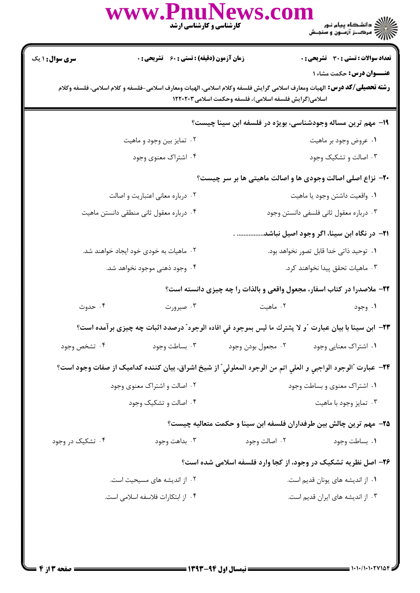|                                                                                                                                                                                                                              | www.PnuNews.col<br><b>کارشناسی و کارشناسی ارشد</b>                                                          |                                         | ع الشکاه پیام نور<br>اگر دانشگاه پیام نور<br>اگر مرک: آزمون و سنجش     |  |  |  |
|------------------------------------------------------------------------------------------------------------------------------------------------------------------------------------------------------------------------------|-------------------------------------------------------------------------------------------------------------|-----------------------------------------|------------------------------------------------------------------------|--|--|--|
| <b>سری سوال : ۱ یک</b>                                                                                                                                                                                                       | <b>زمان آزمون (دقیقه) : تستی : 60 ٪ تشریحی : 0</b>                                                          |                                         | <b>تعداد سوالات : تستی : 30 ٪ تشریحی : 0</b>                           |  |  |  |
| <b>عنـــوان درس:</b> حکمت مشاء ۱<br><b>رشته تحصیلی/گد درس:</b> الهیات ومعارف اسلامی گرایش فلسفه وکلام اسلامی، الهیات ومعارف اسلامی-فلسفه و کلام اسلامی، فلسفه وکلام<br>اسلامی(گرایش فلسفه اسلامی)، فلسفه وحکمت اسلامی۱۲۲۰۲۰۳ |                                                                                                             |                                         |                                                                        |  |  |  |
|                                                                                                                                                                                                                              |                                                                                                             |                                         | ۱۹- مهم ترین مساله وجودشناسی، بویژه در فلسفه ابن سینا چیست؟            |  |  |  |
|                                                                                                                                                                                                                              | ۰۲ تمایز بین وجود و ماهیت                                                                                   |                                         | ۰۱ عروض وجود بر ماهيت                                                  |  |  |  |
|                                                                                                                                                                                                                              | ۰۴ اشتراک معنوی وجود                                                                                        |                                         | ۰۳ اصالت و تشکیک وجود                                                  |  |  |  |
| <b>۲۰</b> - نزاع اصلی اصالت وجودی ها و اصالت ماهیتی ها بر سر چیست؟                                                                                                                                                           |                                                                                                             |                                         |                                                                        |  |  |  |
| ۰۲ درباره معانی اعتباریت و اصالت                                                                                                                                                                                             |                                                                                                             |                                         | ٠١ واقعيت داشتن وجود يا ماهيت                                          |  |  |  |
| ۰۴ درباره معقول ثانی منطقی دانستن ماهیت                                                                                                                                                                                      |                                                                                                             | ۰۳ درباره معقول ثانی فلسفی دانستن وجود  |                                                                        |  |  |  |
|                                                                                                                                                                                                                              |                                                                                                             |                                         | <mark>۲۱</mark> - در نگاه ابن سینا، اگر وجود اصیل نباشد.               |  |  |  |
|                                                                                                                                                                                                                              | ۰۲ ماهیات به خودی خود ایجاد خواهند شد.                                                                      | ٠١ توحيد ذاتي خدا قابل تصور نخواهد بود. |                                                                        |  |  |  |
| ۰۴ وجود ذهنی موجود نخواهد شد.                                                                                                                                                                                                |                                                                                                             | ۰۳ ماهیات تحقق پیدا نخواهند کرد.        |                                                                        |  |  |  |
|                                                                                                                                                                                                                              |                                                                                                             |                                         | ۲۲- ملاصدرا در کتاب اسفار، مجعول واقعی و بالذات را چه چیزی دانسته است؟ |  |  |  |
| ۰۴ حدوث                                                                                                                                                                                                                      | ۰۳ صیرورت                                                                                                   | ۰۲ ماهیت                                | ۰۱ وجود                                                                |  |  |  |
|                                                                                                                                                                                                                              | ٢٣- ابن سينا با بيان عبارت ″و لا يشترك ما ليس بموجود في افاده الوجود″ درصدد اثبات چه چيزى بر آمده است؟      |                                         |                                                                        |  |  |  |
| ۰۴ تشخص وجود                                                                                                                                                                                                                 | ۰۳ بساطت وجود                                                                                               | ۰۲ مجعول بودن وجود                      | ۰۱ اشتراک معنایی وجود                                                  |  |  |  |
|                                                                                                                                                                                                                              | ٢۴– عبارت "الوجود الواجبي و العلي اتم من الوجود المعلولي" از شيخ اشراق، بيان كننده كداميك از صفات وجود است؟ |                                         |                                                                        |  |  |  |
|                                                                                                                                                                                                                              | ۰۲ اصالت و اشتراک معنوی وجود                                                                                | ۰۱ اشتراک معنوی و بساطت وجود            |                                                                        |  |  |  |
| ۰۴ اصالت و تشکیک وجود                                                                                                                                                                                                        |                                                                                                             | ۰۳ تمایز وجود با ماهیت                  |                                                                        |  |  |  |
|                                                                                                                                                                                                                              |                                                                                                             |                                         | ۲۵- مهم ترین چالش بین طرفداران فلسفه ابن سینا و حکمت متعالیه چیست؟     |  |  |  |
| ۰۴ تشکیک در وجود                                                                                                                                                                                                             | ۰۳ بداهت وجود                                                                                               | ۰۲ اصالت وجود                           | ٠١. بساطت وجود                                                         |  |  |  |
|                                                                                                                                                                                                                              |                                                                                                             |                                         | ۲۶- اصل نظریه تشکیک در وجود، از کجا وارد فلسفه اسلامی شده است؟         |  |  |  |
| ۰۲ از اندیشه های مسیحیت است.                                                                                                                                                                                                 |                                                                                                             |                                         | ۰۱ از اندیشه های یونان قدیم است.                                       |  |  |  |
| ۰۴ از ابتکارات فلاسفه اسلامی است.                                                                                                                                                                                            |                                                                                                             |                                         | ۰۳ از اندیشه های ایران قدیم است.                                       |  |  |  |